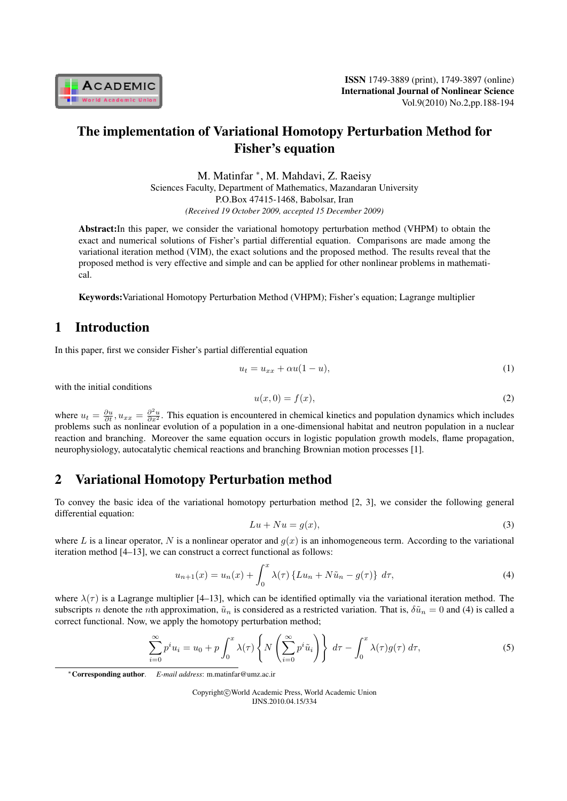

# The implementation of Variational Homotopy Perturbation Method for Fisher's equation

M. Matinfar *<sup>∗</sup>* , M. Mahdavi, Z. Raeisy Sciences Faculty, Department of Mathematics, Mazandaran University P.O.Box 47415-1468, Babolsar, Iran *(Received 19 October 2009, accepted 15 December 2009)*

Abstract:In this paper, we consider the variational homotopy perturbation method (VHPM) to obtain the exact and numerical solutions of Fisher's partial differential equation. Comparisons are made among the variational iteration method (VIM), the exact solutions and the proposed method. The results reveal that the proposed method is very effective and simple and can be applied for other nonlinear problems in mathematical.

Keywords:Variational Homotopy Perturbation Method (VHPM); Fisher's equation; Lagrange multiplier

## 1 Introduction

In this paper, first we consider Fisher's partial differential equation

$$
u_t = u_{xx} + \alpha u (1 - u), \tag{1}
$$

with the initial conditions

$$
u(x,0) = f(x),\tag{2}
$$

where  $u_t = \frac{\partial u}{\partial t}$ ,  $u_{xx} = \frac{\partial^2 u}{\partial x^2}$ . This equation is encountered in chemical kinetics and population dynamics which includes problems such as nonlinear evolution of a population in a one-dimensional habitat and neutron population in a nuclear reaction and branching. Moreover the same equation occurs in logistic population growth models, flame propagation, neurophysiology, autocatalytic chemical reactions and branching Brownian motion processes [1].

### 2 Variational Homotopy Perturbation method

To convey the basic idea of the variational homotopy perturbation method [2, 3], we consider the following general differential equation:

$$
Lu + Nu = g(x),\tag{3}
$$

where L is a linear operator, N is a nonlinear operator and  $g(x)$  is an inhomogeneous term. According to the variational iteration method [4–13], we can construct a correct functional as follows:

$$
u_{n+1}(x) = u_n(x) + \int_0^x \lambda(\tau) \{Lu_n + N\tilde{u}_n - g(\tau)\} d\tau,
$$
\n(4)

where  $\lambda(\tau)$  is a Lagrange multiplier [4–13], which can be identified optimally via the variational iteration method. The subscripts *n* denote the *n*th approximation,  $\tilde{u}_n$  is considered as a restricted variation. That is,  $\delta \tilde{u}_n = 0$  and (4) is called a correct functional. Now, we apply the homotopy perturbation method;

$$
\sum_{i=0}^{\infty} p^i u_i = u_0 + p \int_0^x \lambda(\tau) \left\{ N \left( \sum_{i=0}^{\infty} p^i \tilde{u}_i \right) \right\} d\tau - \int_0^x \lambda(\tau) g(\tau) d\tau,
$$
\n(5)

Copyright*⃝*c World Academic Press, World Academic Union IJNS.2010.04.15/334

*<sup>∗</sup>*Corresponding author. *E-mail address*: m.matinfar@umz.ac.ir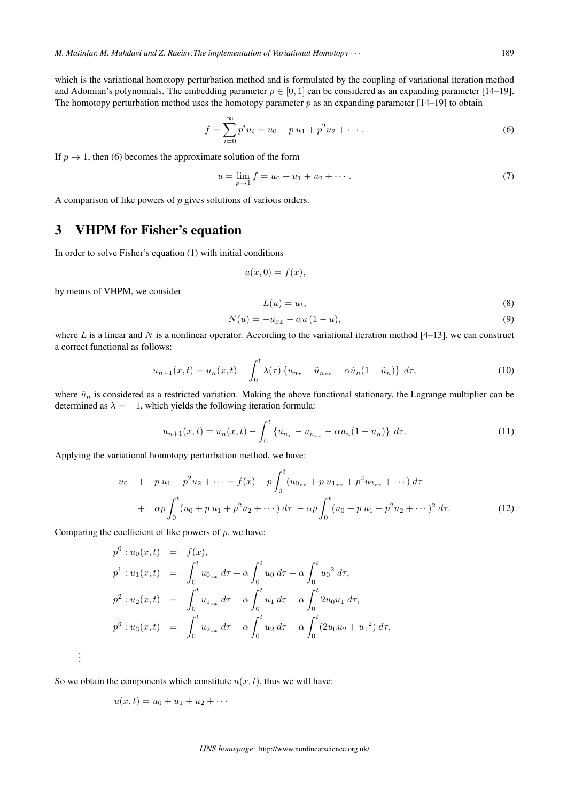$$
f = \sum_{i=0}^{\infty} p^i u_i = u_0 + p u_1 + p^2 u_2 + \cdots
$$
 (6)

If  $p \to 1$ , then (6) becomes the approximate solution of the form

$$
u = \lim_{p \to 1} f = u_0 + u_1 + u_2 + \cdots
$$
 (7)

A comparison of like powers of  $p$  gives solutions of various orders.

## 3 VHPM for Fisher's equation

In order to solve Fisher's equation (1) with initial conditions

$$
u(x,0) = f(x),
$$

by means of VHPM, we consider

$$
L(u) = u_t,\tag{8}
$$

$$
N(u) = -u_{xx} - \alpha u (1 - u), \tag{9}
$$

where  $L$  is a linear and  $N$  is a nonlinear operator. According to the variational iteration method [4–13], we can construct a correct functional as follows:

$$
u_{n+1}(x,t) = u_n(x,t) + \int_0^t \lambda(\tau) \left\{ u_{n_\tau} - \tilde{u}_{n_{xx}} - \alpha \tilde{u}_n (1 - \tilde{u}_n) \right\} d\tau,
$$
 (10)

where  $\tilde{u}_n$  is considered as a restricted variation. Making the above functional stationary, the Lagrange multiplier can be determined as  $\lambda = -1$ , which yields the following iteration formula:

$$
u_{n+1}(x,t) = u_n(x,t) - \int_0^t \{u_{n_\tau} - u_{n_{xx}} - \alpha u_n(1-u_n)\} d\tau.
$$
 (11)

Applying the variational homotopy perturbation method, we have:

$$
u_0 + p u_1 + p^2 u_2 + \dots = f(x) + p \int_0^t (u_{0xx} + p u_{1xx} + p^2 u_{2xx} + \dots) d\tau
$$
  
+ 
$$
\alpha p \int_0^t (u_0 + p u_1 + p^2 u_2 + \dots) d\tau - \alpha p \int_0^t (u_0 + p u_1 + p^2 u_2 + \dots)^2 d\tau.
$$
 (12)

Comparing the coefficient of like powers of  $p$ , we have:

$$
p^{0}: u_{0}(x, t) = f(x),
$$
  
\n
$$
p^{1}: u_{1}(x, t) = \int_{0}^{t} u_{0xx} d\tau + \alpha \int_{0}^{t} u_{0} d\tau - \alpha \int_{0}^{t} u_{0}^{2} d\tau,
$$
  
\n
$$
p^{2}: u_{2}(x, t) = \int_{0}^{t} u_{1xx} d\tau + \alpha \int_{0}^{t} u_{1} d\tau - \alpha \int_{0}^{t} 2u_{0}u_{1} d\tau,
$$
  
\n
$$
p^{3}: u_{3}(x, t) = \int_{0}^{t} u_{2xx} d\tau + \alpha \int_{0}^{t} u_{2} d\tau - \alpha \int_{0}^{t} (2u_{0}u_{2} + u_{1}^{2}) d\tau,
$$

So we obtain the components which constitute  $u(x, t)$ , thus we will have:

$$
u(x,t)=u_0+u_1+u_2+\cdots
$$

. . .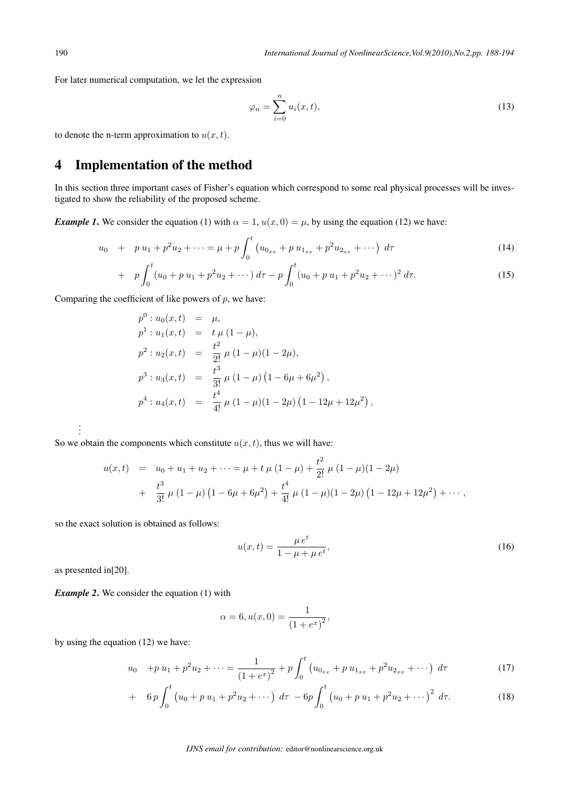For later numerical computation, we let the expression

$$
\varphi_n = \sum_{i=0}^n u_i(x, t),\tag{13}
$$

to denote the n-term approximation to  $u(x, t)$ .

# 4 Implementation of the method

In this section three important cases of Fisher's equation which correspond to some real physical processes will be investigated to show the reliability of the proposed scheme.

*Example 1*. We consider the equation (1) with  $\alpha = 1$ ,  $u(x, 0) = \mu$ , by using the equation (12) we have:

$$
u_0 + p u_1 + p^2 u_2 + \dots = \mu + p \int_0^t \left( u_{0_{xx}} + p u_{1_{xx}} + p^2 u_{2_{xx}} + \dots \right) d\tau \tag{14}
$$

+ 
$$
p \int_0^t (u_0 + p u_1 + p^2 u_2 + \cdots) d\tau - p \int_0^t (u_0 + p u_1 + p^2 u_2 + \cdots)^2 d\tau.
$$
 (15)

Comparing the coefficient of like powers of  $p$ , we have:

$$
p^{0}: u_{0}(x, t) = \mu,
$$
  
\n
$$
p^{1}: u_{1}(x, t) = t \mu (1 - \mu),
$$
  
\n
$$
p^{2}: u_{2}(x, t) = \frac{t^{2}}{2!} \mu (1 - \mu)(1 - 2\mu),
$$
  
\n
$$
p^{3}: u_{3}(x, t) = \frac{t^{3}}{3!} \mu (1 - \mu) (1 - 6\mu + 6\mu^{2}),
$$
  
\n
$$
p^{4}: u_{4}(x, t) = \frac{t^{4}}{4!} \mu (1 - \mu)(1 - 2\mu) (1 - 12\mu + 12\mu^{2}),
$$

So we obtain the components which constitute  $u(x, t)$ , thus we will have:

$$
u(x,t) = u_0 + u_1 + u_2 + \dots = \mu + t \mu (1 - \mu) + \frac{t^2}{2!} \mu (1 - \mu)(1 - 2\mu)
$$
  
+ 
$$
\frac{t^3}{3!} \mu (1 - \mu) (1 - 6\mu + 6\mu^2) + \frac{t^4}{4!} \mu (1 - \mu)(1 - 2\mu) (1 - 12\mu + 12\mu^2) + \dots,
$$

so the exact solution is obtained as follows:

$$
u(x,t) = \frac{\mu e^t}{1 - \mu + \mu e^t},
$$
\n(16)

as presented in[20].

. . .

*Example 2*. We consider the equation (1) with

$$
\alpha = 6, u(x, 0) = \frac{1}{(1 + e^x)^2},
$$

by using the equation (12) we have:

$$
u_0 + p u_1 + p^2 u_2 + \dots = \frac{1}{(1 + e^x)^2} + p \int_0^t \left( u_{0_{xx}} + p u_{1_{xx}} + p^2 u_{2_{xx}} + \dots \right) d\tau \tag{17}
$$

+ 
$$
6p \int_0^t (u_0 + p u_1 + p^2 u_2 + \cdots) d\tau - 6p \int_0^t (u_0 + p u_1 + p^2 u_2 + \cdots)^2 d\tau.
$$
 (18)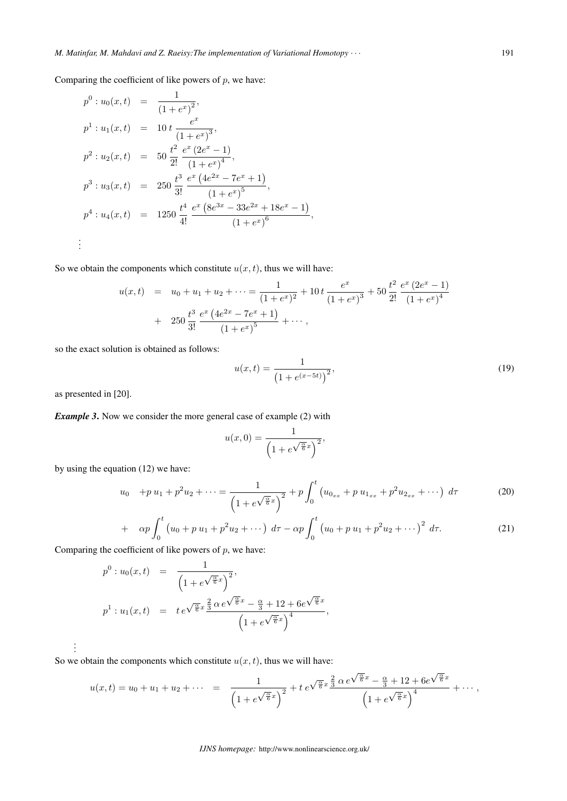Comparing the coefficient of like powers of  $p$ , we have:

$$
p^{0}: u_{0}(x,t) = \frac{1}{(1+e^{x})^{2}},
$$
  
\n
$$
p^{1}: u_{1}(x,t) = 10 t \frac{e^{x}}{(1+e^{x})^{3}},
$$
  
\n
$$
p^{2}: u_{2}(x,t) = 50 \frac{t^{2}}{2!} \frac{e^{x} (2e^{x} - 1)}{(1+e^{x})^{4}},
$$
  
\n
$$
p^{3}: u_{3}(x,t) = 250 \frac{t^{3}}{3!} \frac{e^{x} (4e^{2x} - 7e^{x} + 1)}{(1+e^{x})^{5}},
$$
  
\n
$$
p^{4}: u_{4}(x,t) = 1250 \frac{t^{4}}{4!} \frac{e^{x} (8e^{3x} - 33e^{2x} + 18e^{x} - 1)}{(1+e^{x})^{6}},
$$
  
\n
$$
\vdots
$$

So we obtain the components which constitute  $u(x, t)$ , thus we will have:

$$
u(x,t) = u_0 + u_1 + u_2 + \dots = \frac{1}{(1+e^x)^2} + 10t \frac{e^x}{(1+e^x)^3} + 50 \frac{t^2}{2!} \frac{e^x (2e^x - 1)}{(1+e^x)^4} + 250 \frac{t^3}{3!} \frac{e^x (4e^{2x} - 7e^x + 1)}{(1+e^x)^5} + \dots,
$$

so the exact solution is obtained as follows:

$$
u(x,t) = \frac{1}{\left(1 + e^{(x-5t)}\right)^2},\tag{19}
$$

as presented in [20].

. . .

*Example 3*. Now we consider the more general case of example (2) with

$$
u(x,0) = \frac{1}{\left(1 + e^{\sqrt{\frac{\alpha}{6}}x}\right)^2},
$$

by using the equation (12) we have:

$$
u_0 + p u_1 + p^2 u_2 + \dots = \frac{1}{\left(1 + e^{\sqrt{\frac{\alpha}{6}}x}\right)^2} + p \int_0^t \left(u_{0_{xx}} + p u_{1_{xx}} + p^2 u_{2_{xx}} + \dots\right) d\tau
$$
 (20)

+ 
$$
\alpha p \int_0^t (u_0 + p u_1 + p^2 u_2 + \cdots) d\tau - \alpha p \int_0^t (u_0 + p u_1 + p^2 u_2 + \cdots)^2 d\tau.
$$
 (21)

Comparing the coefficient of like powers of  $p$ , we have:

$$
p^{0}: u_{0}(x,t) = \frac{1}{\left(1 + e^{\sqrt{\frac{\alpha}{6}}x}\right)^{2}},
$$
  

$$
p^{1}: u_{1}(x,t) = te^{\sqrt{\frac{\alpha}{6}}x} \frac{\frac{2}{3}\alpha e^{\sqrt{\frac{\alpha}{6}}x} - \frac{\alpha}{3} + 12 + 6e^{\sqrt{\frac{\alpha}{6}}x}}{\left(1 + e^{\sqrt{\frac{\alpha}{6}}x}\right)^{4}},
$$

So we obtain the components which constitute  $u(x, t)$ , thus we will have:

$$
u(x,t) = u_0 + u_1 + u_2 + \cdots = \frac{1}{\left(1 + e^{\sqrt{\frac{\alpha}{6}}x}\right)^2} + t e^{\sqrt{\frac{\alpha}{6}}x} \frac{\frac{2}{3} \alpha e^{\sqrt{\frac{\alpha}{6}}x} - \frac{\alpha}{3} + 12 + 6e^{\sqrt{\frac{\alpha}{6}}x}}{\left(1 + e^{\sqrt{\frac{\alpha}{6}}x}\right)^4} + \cdots,
$$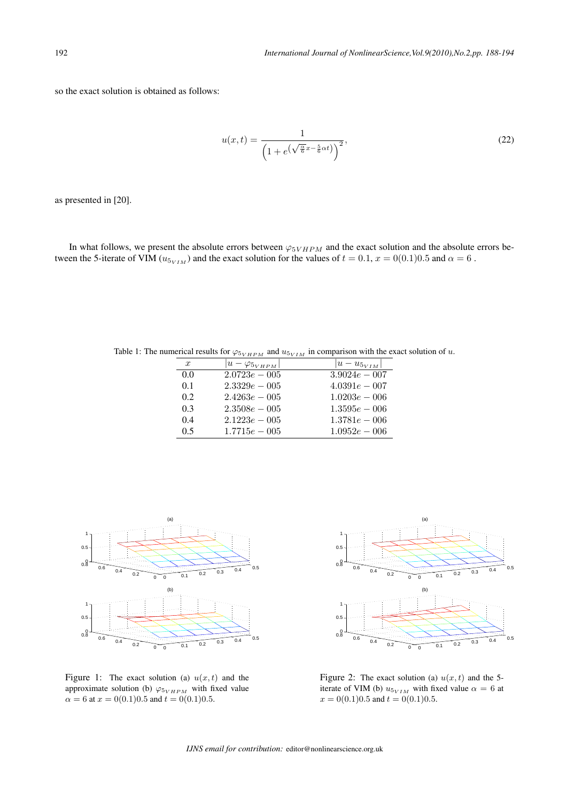so the exact solution is obtained as follows:

$$
u(x,t) = \frac{1}{\left(1 + e^{\left(\sqrt{\frac{\alpha}{6}}x - \frac{5}{6}\alpha t\right)}\right)^2},\tag{22}
$$

as presented in [20].

In what follows, we present the absolute errors between  $\varphi_{5VHPM}$  and the exact solution and the absolute errors between the 5-iterate of VIM ( $u_{5VIM}$ ) and the exact solution for the values of  $t = 0.1$ ,  $x = 0(0.1)0.5$  and  $\alpha = 6$ .

Table 1: The numerical results for  $\varphi_{5_{VHPM}}$  and  $u_{5_{VIM}}$  in comparison with the exact solution of u.

| $\boldsymbol{x}$ | $ u-\varphi_{5VHPM} $ | $ u - u_{5VIM} $ |
|------------------|-----------------------|------------------|
| 0.0              | $2.0723e - 005$       | $3.9024e - 007$  |
| 0.1              | $2.3329e - 005$       | $4.0391e - 007$  |
| 0.2              | $2.4263e - 005$       | $1.0203e - 006$  |
| 0.3              | $2.3508e - 005$       | $1.3595e - 006$  |
| 0.4              | $2.1223e - 005$       | $1.3781e - 006$  |
| 0.5              | $1.7715e - 005$       | $1.0952e - 006$  |



Figure 1: The exact solution (a)  $u(x, t)$  and the approximate solution (b)  $\varphi_{5_{VHPM}}$  with fixed value  $\alpha = 6$  at  $x = 0(0.1)0.5$  and  $t = 0(0.1)0.5$ .



Figure 2: The exact solution (a)  $u(x, t)$  and the 5iterate of VIM (b)  $u_{5_{VIM}}$  with fixed value  $\alpha = 6$  at  $x = 0(0.1)0.5$  and  $t = 0(0.1)0.5$ .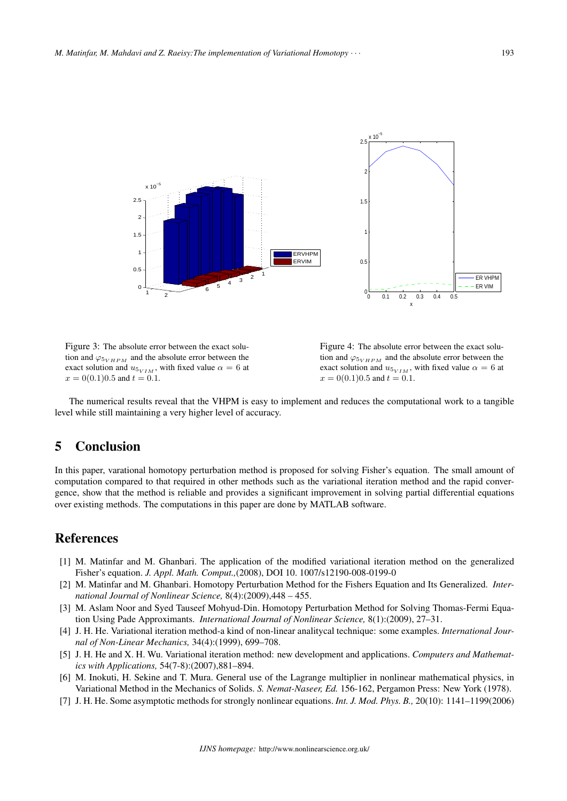

Figure 3: The absolute error between the exact solution and  $\varphi_{5_{VHPM}}$  and the absolute error between the exact solution and  $u_{5_{VIM}}$ , with fixed value  $\alpha = 6$  at  $x = 0(0.1)0.5$  and  $t = 0.1$ .

Figure 4: The absolute error between the exact solution and  $\varphi_{5_{VHPM}}$  and the absolute error between the exact solution and  $u_{5_{VIM}}$ , with fixed value  $\alpha = 6$  at  $x = 0(0.1)0.5$  and  $t = 0.1$ .

The numerical results reveal that the VHPM is easy to implement and reduces the computational work to a tangible level while still maintaining a very higher level of accuracy.

### 5 Conclusion

In this paper, varational homotopy perturbation method is proposed for solving Fisher's equation. The small amount of computation compared to that required in other methods such as the variational iteration method and the rapid convergence, show that the method is reliable and provides a significant improvement in solving partial differential equations over existing methods. The computations in this paper are done by MATLAB software.

### References

- [1] M. Matinfar and M. Ghanbari. The application of the modified variational iteration method on the generalized Fisher's equation. *J. Appl. Math. Comput.,*(2008), DOI 10. 1007/s12190-008-0199-0
- [2] M. Matinfar and M. Ghanbari. Homotopy Perturbation Method for the Fishers Equation and Its Generalized. *International Journal of Nonlinear Science,* 8(4):(2009),448 – 455.
- [3] M. Aslam Noor and Syed Tauseef Mohyud-Din. Homotopy Perturbation Method for Solving Thomas-Fermi Equation Using Pade Approximants. *International Journal of Nonlinear Science,* 8(1):(2009), 27–31.
- [4] J. H. He. Variational iteration method-a kind of non-linear analitycal technique: some examples. *International Journal of Non-Linear Mechanics,* 34(4):(1999), 699–708.
- [5] J. H. He and X. H. Wu. Variational iteration method: new development and applications. *Computers and Mathematics with Applications,* 54(7-8):(2007),881–894.
- [6] M. Inokuti, H. Sekine and T. Mura. General use of the Lagrange multiplier in nonlinear mathematical physics, in Variational Method in the Mechanics of Solids. *S. Nemat-Naseer, Ed.* 156-162, Pergamon Press: New York (1978).
- [7] J. H. He. Some asymptotic methods for strongly nonlinear equations. *Int. J. Mod. Phys. B.,* 20(10): 1141–1199(2006)